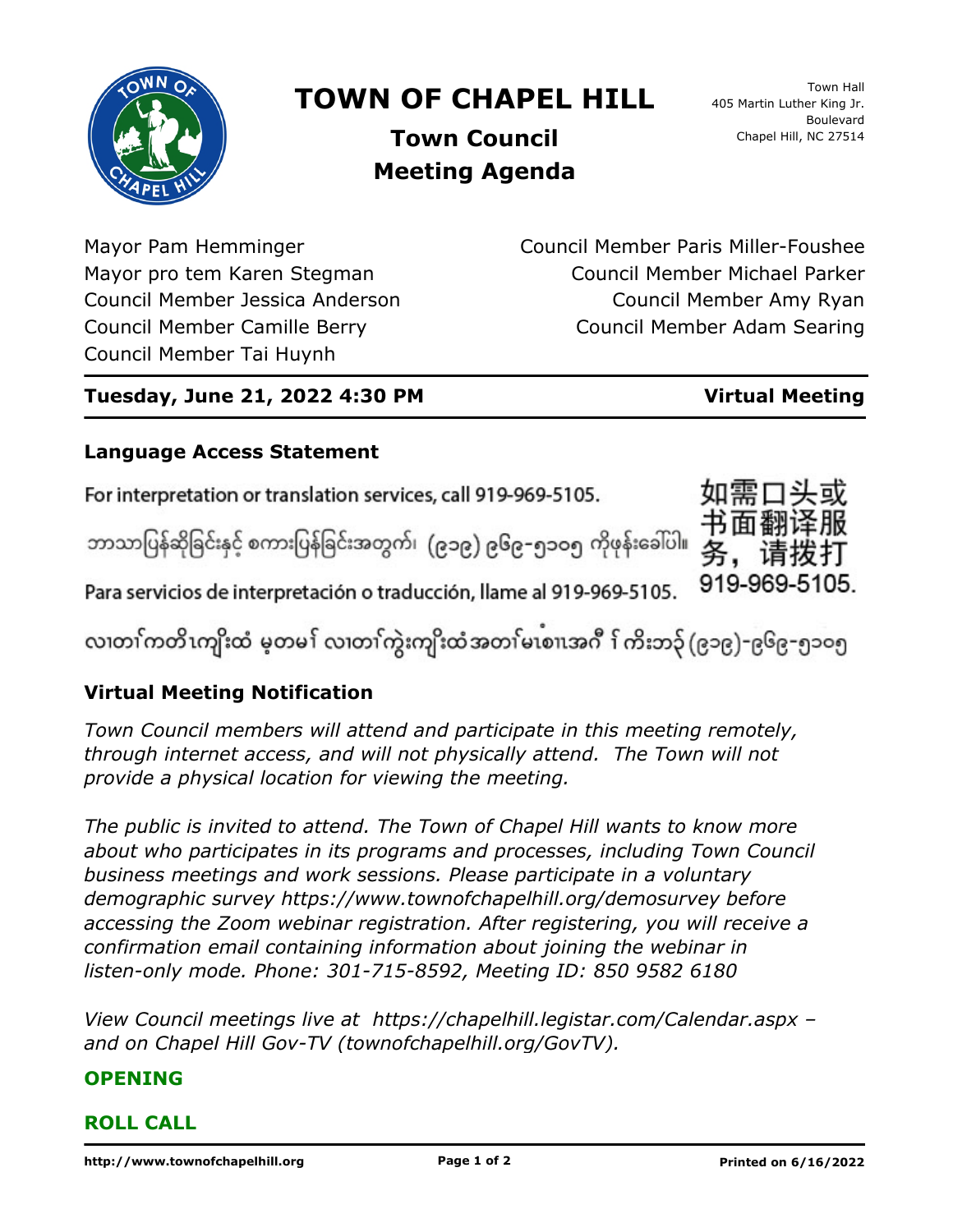

# **TOWN OF CHAPEL HILL**

Town Hall 405 Martin Luther King Jr. Boulevard Chapel Hill, NC 27514

**Town Council Meeting Agenda**

Mayor Pam Hemminger Mayor pro tem Karen Stegman Council Member Jessica Anderson Council Member Camille Berry Council Member Tai Huynh

Council Member Paris Miller-Foushee Council Member Michael Parker Council Member Amy Ryan Council Member Adam Searing

# **Tuesday, June 21, 2022 4:30 PM Virtual Meeting**

## **Language Access Statement**

For interpretation or translation services, call 919-969-5105.

ဘာသာပြန်ဆိုခြင်းနှင့် စကားပြန်ခြင်းအတွက်၊ (၉၁၉) ၉၆၉–၅၁ဝ၅ ကိုဖုန်းခေါ်ပါ။



လ၊တၢ်ကတိၤကျိးထံ မ့တမ႑် လ၊တၢ်ကွဲးကျိးထံအတၤ်မၤစၢ၊အဂီ ႑်ကိးဘ၃် (၉၁၉)-၉၆၉-၅၁၀၅

# **Virtual Meeting Notification**

*Town Council members will attend and participate in this meeting remotely, through internet access, and will not physically attend. The Town will not provide a physical location for viewing the meeting.*

*The public is invited to attend. The Town of Chapel Hill wants to know more about who participates in its programs and processes, including Town Council business meetings and work sessions. Please participate in a voluntary demographic survey https://www.townofchapelhill.org/demosurvey before accessing the Zoom webinar registration. After registering, you will receive a confirmation email containing information about joining the webinar in listen-only mode. Phone: 301-715-8592, Meeting ID: 850 9582 6180*

*View Council meetings live at https://chapelhill.legistar.com/Calendar.aspx – and on Chapel Hill Gov-TV (townofchapelhill.org/GovTV).*

### **OPENING**

### **ROLL CALL**